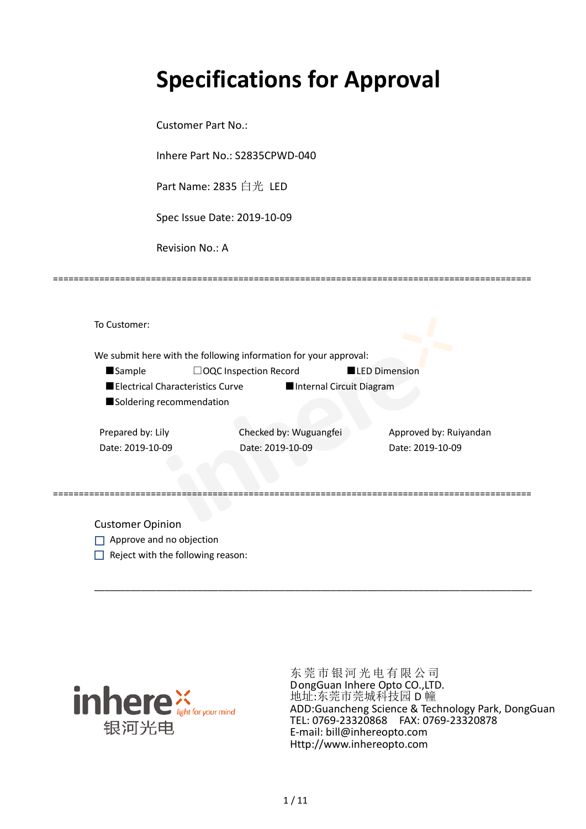# **Specifications for Approval**

Customer Part No.:

Inhere Part No.: S2835CPWD-040

Part Name: 2835 白光 LED

Spec Issue Date: 2019-10-09

Revision No.: A

|                                  | We submit here with the following information for your approval: |                        |
|----------------------------------|------------------------------------------------------------------|------------------------|
| <b>Sample</b>                    | □OQC Inspection Record                                           | <b>LED Dimension</b>   |
| Electrical Characteristics Curve | Internal Circuit Diagram                                         |                        |
| Soldering recommendation         |                                                                  |                        |
| Prepared by: Lily                | Checked by: Wuguangfei                                           | Approved by: Ruiyandan |
| Date: 2019-10-09                 | Date: 2019-10-09                                                 | Date: 2019-10-09       |
|                                  |                                                                  |                        |

\_\_\_\_\_\_\_\_\_\_\_\_\_\_\_\_\_\_\_\_\_\_\_\_\_\_\_\_\_\_\_\_\_\_\_\_\_\_\_\_\_\_\_\_\_\_\_\_\_\_\_\_\_\_\_\_\_\_\_\_\_\_\_\_\_\_\_\_\_\_\_\_\_\_\_\_\_\_\_\_\_\_\_\_\_

=============================================================================================

Customer Opinion

- Approve and no objection
- $\Box$  Reject with the following reason:



东莞市银河光电有限公司 DongGuan Inhere Opto CO.,LTD. 地址:东莞市莞城科技园 D 幢 ADD:Guancheng Science & Technology Park, DongGuan TEL: 0769-23320868 FAX: 0769-23320878 E-mail: bill@inhereopto.com Http://www.inhereopto.com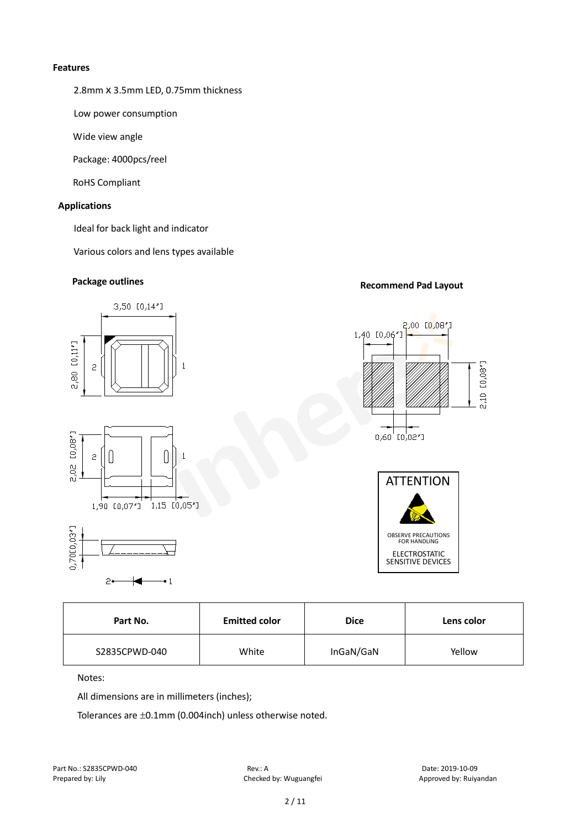#### **Features**

2.8mm x 3.5mm LED, 0.75mm thickness

Low power consumption

Wide view angle

Package: 4000pcs/reel

RoHS Compliant

#### **Applications**

Ideal for back light and indicator

Various colors and lens types available

# **Package outlines Recommend Pad Layout**



| Part No.      | <b>Emitted color</b> | <b>Dice</b> | Lens color |
|---------------|----------------------|-------------|------------|
| S2835CPWD-040 | White                | InGaN/GaN   | Yellow     |

Notes:

All dimensions are in millimeters (inches);

Tolerances are ±0.1mm (0.004inch) unless otherwise noted.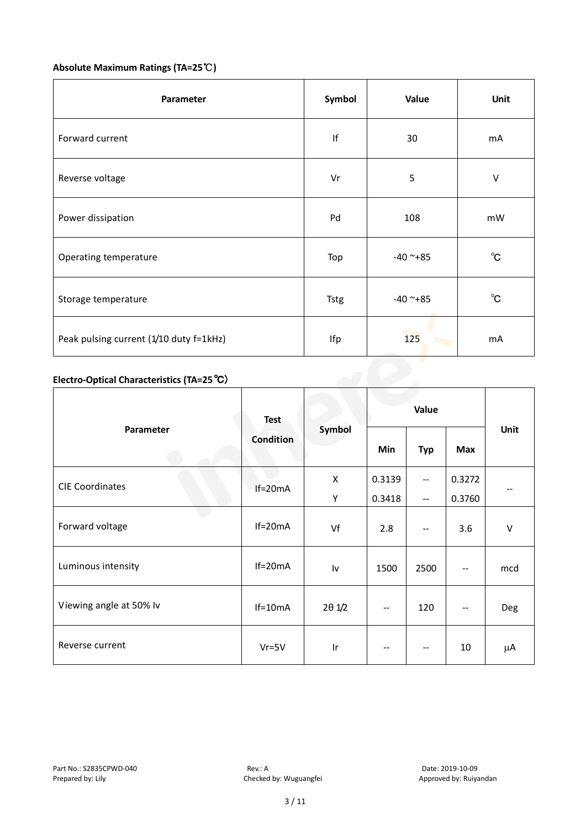# **Absolute Maximum Ratings (TA=25**℃**)**

| Parameter                                  | Symbol      | Value      | Unit           |
|--------------------------------------------|-------------|------------|----------------|
| Forward current                            | f           | 30         | mA             |
| Reverse voltage                            | Vr          | 5          | $\sf V$        |
| Power dissipation                          | Pd          | 108        | mW             |
| Operating temperature                      | Top         | $-40$ ~+85 | $^{\circ}$ C   |
| Storage temperature                        | <b>Tstg</b> | $-40$ ~+85 | $^{\circ}$ C   |
| Peak pulsing current (1/10 duty f=1kHz)    | Ifp         | 125        | m <sub>A</sub> |
| Electro-Optical Characteristics (TA=25 °C) |             |            |                |

# **Electro-Optical Characteristics (TA=25**℃)

|                         | <b>Test</b><br>Condition | Symbol          | Value        |                          |                          |         |
|-------------------------|--------------------------|-----------------|--------------|--------------------------|--------------------------|---------|
| Parameter               |                          |                 | Min          | <b>Typ</b>               | <b>Max</b>               | Unit    |
| <b>CIE Coordinates</b>  |                          | X               | 0.3139       | $\overline{a}$           | 0.3272                   |         |
|                         | $If=20mA$                | Y               | 0.3418       | $\overline{\phantom{a}}$ | 0.3760                   | --      |
| Forward voltage         | $If=20mA$                | Vf              | 2.8          |                          | 3.6                      | $\sf V$ |
| Luminous intensity      | $If=20mA$                | Iv              | 1500         | 2500                     | $-$                      | mcd     |
| Viewing angle at 50% lv | $If=10mA$                | $2\theta$ $1/2$ | $\mathbf{u}$ | 120                      | $\overline{\phantom{a}}$ | Deg     |
| Reverse current         | $Vr = 5V$                | Ir              |              |                          | 10                       | μA      |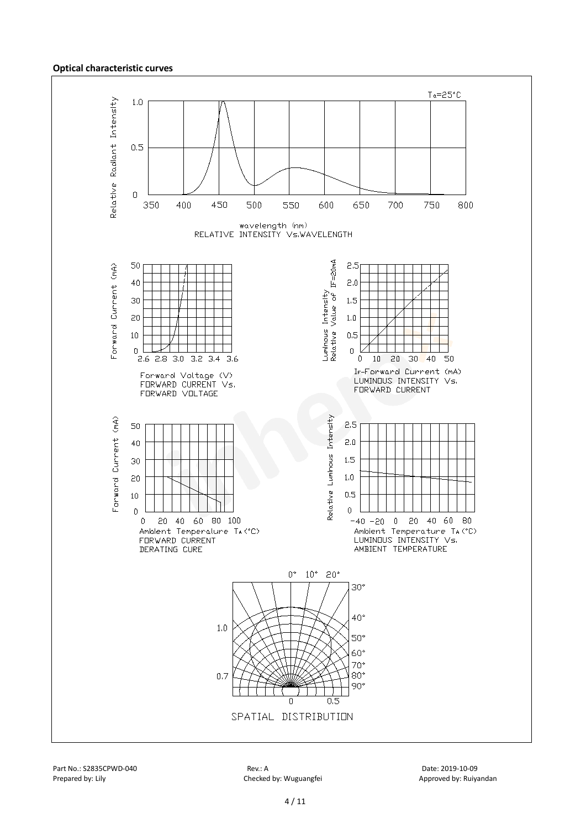#### **Optical characteristic curves**



Part No.: S2835CPWD-040 Rev.: A Date: 2019-10-09 Prepared by: Lily Checked by: Wuguangfei Approved by: Ruiyandan Approved by: Ruiyandan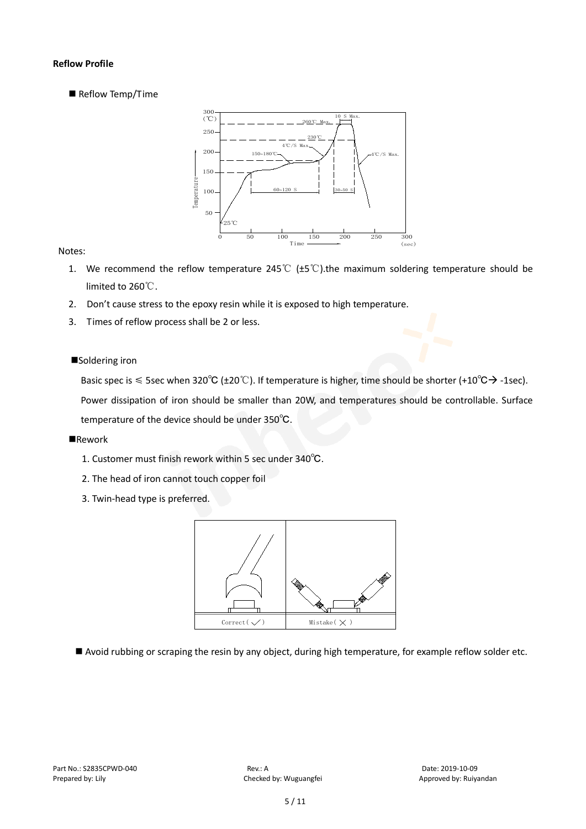#### **Reflow Profile**

Reflow Temp/Time



#### Notes:

- 1. We recommend the reflow temperature 245°C ( $\pm$ 5°C).the maximum soldering temperature should be limited to 260℃.
- 2. Don't cause stress to the epoxy resin while it is exposed to high temperature.
- 3. Times of reflow process shall be 2 or less.

#### ■Soldering iron

Basic spec is  $\leq$  5sec when 320°C (±20°C). If temperature is higher, time should be shorter (+10°C $\rightarrow$ -1sec).

Power dissipation of iron should be smaller than 20W, and temperatures should be controllable. Surface temperature of the device should be under 350℃.

#### **Rework**

- 1. Customer must finish rework within 5 sec under 340℃.
- 2. The head of iron cannot touch copper foil
- 3. Twin-head type is preferred.



Avoid rubbing or scraping the resin by any object, during high temperature, for example reflow solder etc.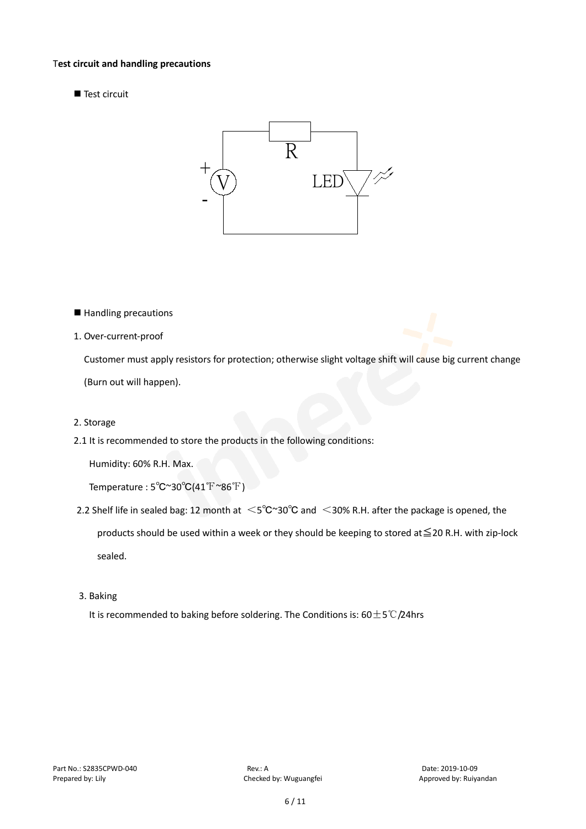#### T**est circuit and handling precautions**

■ Test circuit



- Handling precautions
- 1. Over-current-proof

Customer must apply resistors for protection; otherwise slight voltage shift will cause big current change (Burn out will happen).

- 2. Storage
- 2.1 It is recommended to store the products in the following conditions:

Humidity: 60% R.H. Max.

Temperature : 5℃~30℃(41℉~86℉)

- 2.2 Shelf life in sealed bag: 12 month at <5℃~30°C and <30% R.H. after the package is opened, the products should be used within a week or they should be keeping to stored at≦20 R.H. with zip-lock sealed.
- 3. Baking

It is recommended to baking before soldering. The Conditions is: 60±5℃/24hrs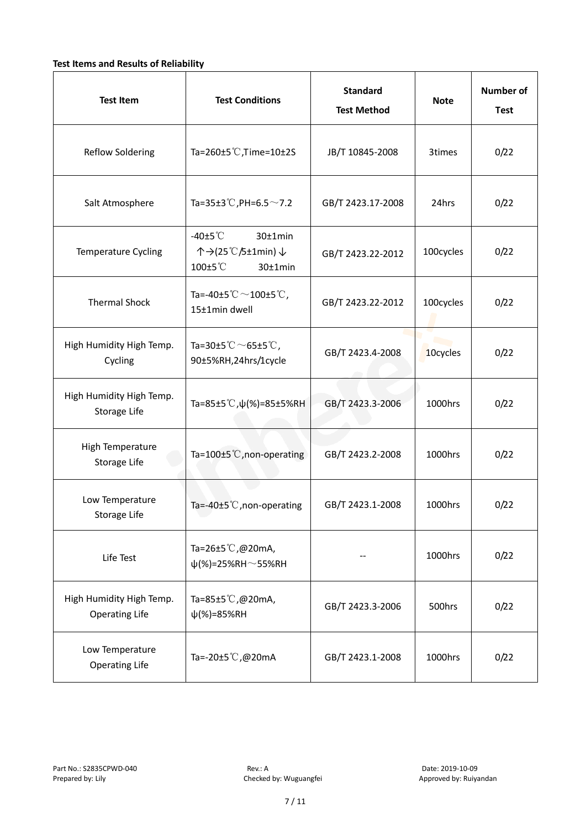#### **Test Items and Results of Reliability**

| <b>Test Item</b>                                  | <b>Test Conditions</b>                                                         | <b>Standard</b><br><b>Test Method</b> | <b>Note</b> | <b>Number of</b><br><b>Test</b> |
|---------------------------------------------------|--------------------------------------------------------------------------------|---------------------------------------|-------------|---------------------------------|
| <b>Reflow Soldering</b>                           | Ta=260±5 °C, Time=10±2S                                                        | JB/T 10845-2008                       | 3times      | 0/22                            |
| Salt Atmosphere                                   | Ta=35±3°C, PH=6.5 $\sim$ 7.2                                                   | GB/T 2423.17-2008                     | 24hrs       | 0/22                            |
| Temperature Cycling                               | -40 $±5^{\circ}$ C<br>$30±1$ min<br>个→(25℃/5±1min) ↓<br>100±5°C<br>$30±1$ min  | GB/T 2423.22-2012                     | 100cycles   | 0/22                            |
| <b>Thermal Shock</b>                              | Ta=-40±5 $\degree \text{C}$ $\sim$ 100±5 $\degree \text{C}$ ,<br>15±1min dwell | GB/T 2423.22-2012                     | 100cycles   | 0/22                            |
| High Humidity High Temp.<br>Cycling               | Ta=30±5 °C $\sim$ 65±5 °C,<br>90±5%RH,24hrs/1cycle                             | GB/T 2423.4-2008                      | 10cycles    | 0/22                            |
| High Humidity High Temp.<br>Storage Life          | Ta=85±5 °C, $\psi$ (%)=85±5%RH                                                 | GB/T 2423.3-2006                      | 1000hrs     | 0/22                            |
| High Temperature<br>Storage Life                  | Ta=100±5°C, non-operating                                                      | GB/T 2423.2-2008                      | 1000hrs     | 0/22                            |
| Low Temperature<br>Storage Life                   | Ta=-40±5 $°C$ , non-operating                                                  | GB/T 2423.1-2008                      | 1000hrs     | 0/22                            |
| Life Test                                         | Ta=26±5 °C,@20mA,<br>$\psi$ (%)=25%RH~55%RH                                    |                                       | 1000hrs     | 0/22                            |
| High Humidity High Temp.<br><b>Operating Life</b> | Ta=85±5 $\degree$ C, @20mA,<br>$\psi$ (%)=85%RH                                | GB/T 2423.3-2006                      | 500hrs      | 0/22                            |
| Low Temperature<br><b>Operating Life</b>          | Ta=-20±5 °C,@20mA                                                              | GB/T 2423.1-2008                      | 1000hrs     | 0/22                            |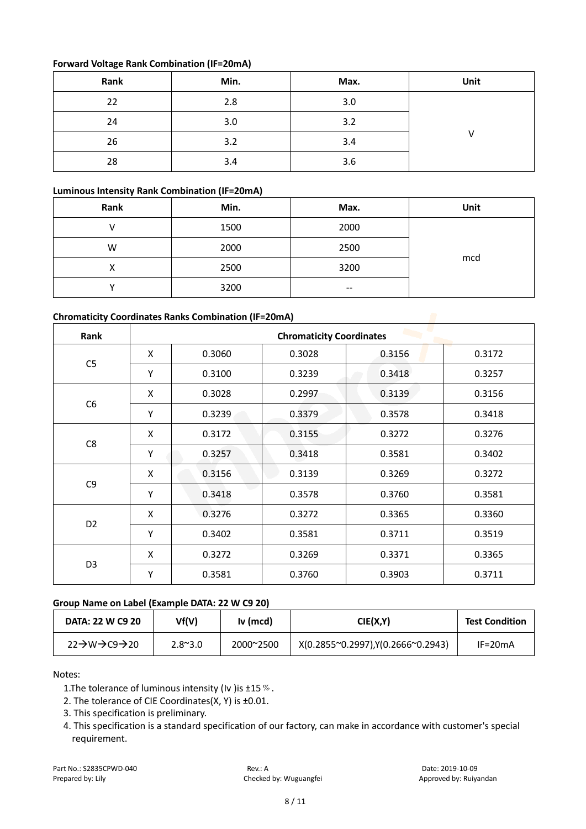#### **Forward Voltage Rank Combination (IF=20mA)**

| Rank | Min. | Max. | Unit |
|------|------|------|------|
| 22   | 2.8  | 3.0  |      |
| 24   | 3.0  | 3.2  |      |
| 26   | 3.2  | 3.4  |      |
| 28   | 3.4  | 3.6  |      |

#### **Luminous Intensity Rank Combination (IF=20mA)**

| Rank | Min. | Max.          | Unit |
|------|------|---------------|------|
|      | 1500 | 2000          |      |
| W    | 2000 | 2500          |      |
| х    | 2500 | 3200          | mcd  |
|      | 3200 | $\sim$ $\sim$ |      |

### **Chromaticity Coordinates Ranks Combination (IF=20mA)**

| Rank                | <b>Chromaticity Coordinates</b> |        |        |        |        |  |
|---------------------|---------------------------------|--------|--------|--------|--------|--|
|                     | X                               | 0.3060 | 0.3028 | 0.3156 | 0.3172 |  |
| C <sub>5</sub><br>Υ |                                 | 0.3100 | 0.3239 | 0.3418 | 0.3257 |  |
|                     | X                               | 0.3028 | 0.2997 | 0.3139 | 0.3156 |  |
| C <sub>6</sub>      | Υ                               | 0.3239 | 0.3379 | 0.3578 | 0.3418 |  |
|                     | X                               | 0.3172 | 0.3155 | 0.3272 | 0.3276 |  |
| C8<br>Υ             |                                 | 0.3257 | 0.3418 | 0.3581 | 0.3402 |  |
|                     | X                               | 0.3156 | 0.3139 | 0.3269 | 0.3272 |  |
| C <sub>9</sub>      | Υ                               | 0.3418 | 0.3578 | 0.3760 | 0.3581 |  |
|                     | X                               | 0.3276 | 0.3272 | 0.3365 | 0.3360 |  |
| D <sub>2</sub>      | Υ                               | 0.3402 | 0.3581 | 0.3711 | 0.3519 |  |
|                     | X                               | 0.3272 | 0.3269 | 0.3371 | 0.3365 |  |
| D <sub>3</sub>      | Υ                               | 0.3581 | 0.3760 | 0.3903 | 0.3711 |  |

#### **Group Name on Label (Example DATA: 22 W C9 20)**

| <b>DATA: 22 W C9 20</b>                          | Vf(V)           | $Iv$ (mcd) | CIE(X,Y)                           | <b>Test Condition</b> |
|--------------------------------------------------|-----------------|------------|------------------------------------|-----------------------|
| $22 \rightarrow W \rightarrow C9 \rightarrow 20$ | $2.8^{\sim}3.0$ | 2000~2500  | X(0.2855~0.2997), Y(0.2666~0.2943) | $IF=20mA$             |

Notes:

1. The tolerance of luminous intensity (Iv ) is  $\pm 15\%$ .

2. The tolerance of CIE Coordinates(X, Y) is ±0.01.

3. This specification is preliminary.

4. This specification is a standard specification of our factory, can make in accordance with customer's special requirement.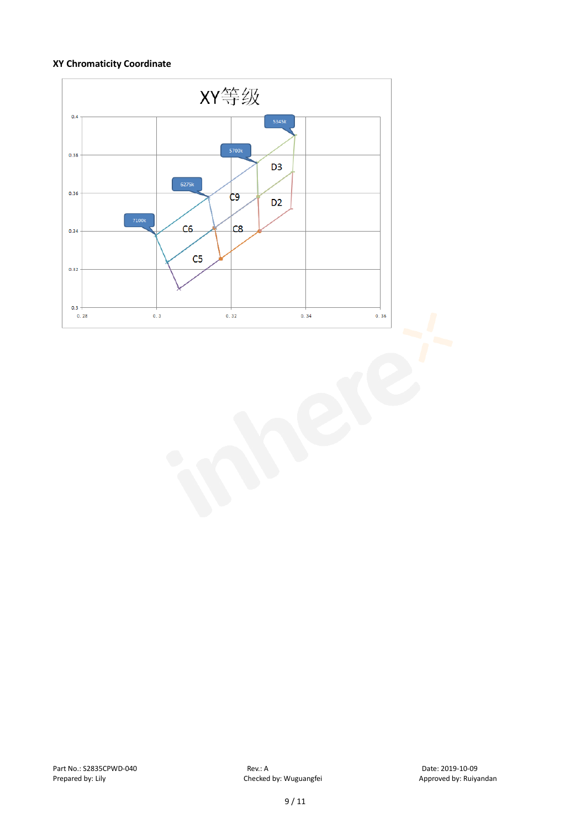#### **XY Chromaticity Coordinate**

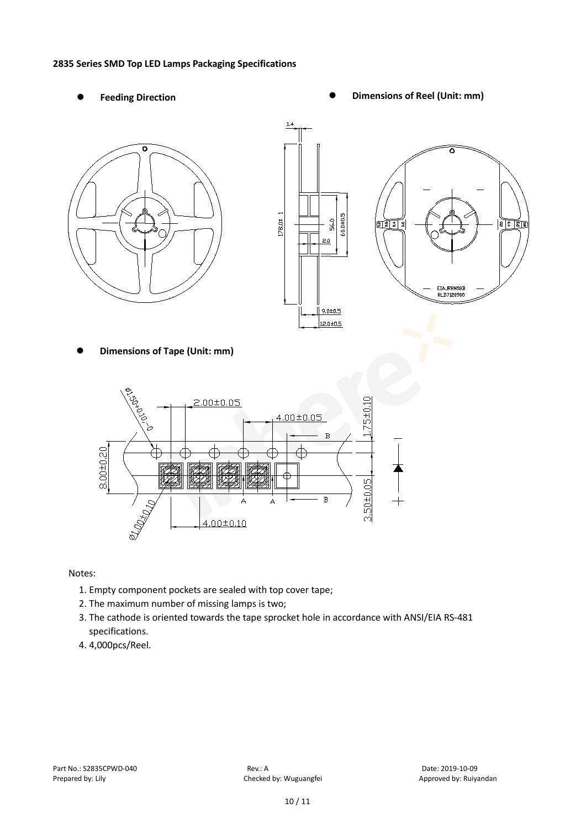#### **2835 Series SMD Top LED Lamps Packaging Specifications**

- 
- Feeding Direction **Constanting Constanting Constanting Constanting Constanting Constanting Constanting Constanting Constanting Constanting Constanting Constanting Constanting Constanting Constanting Constanting Constanting**







**Dimensions of Tape (Unit: mm)**



Notes:

- 1. Empty component pockets are sealed with top cover tape;
- 2. The maximum number of missing lamps is two;
- 3. The cathode is oriented towards the tape sprocket hole in accordance with ANSI/EIA RS-481 specifications.
- 4. 4,000pcs/Reel.